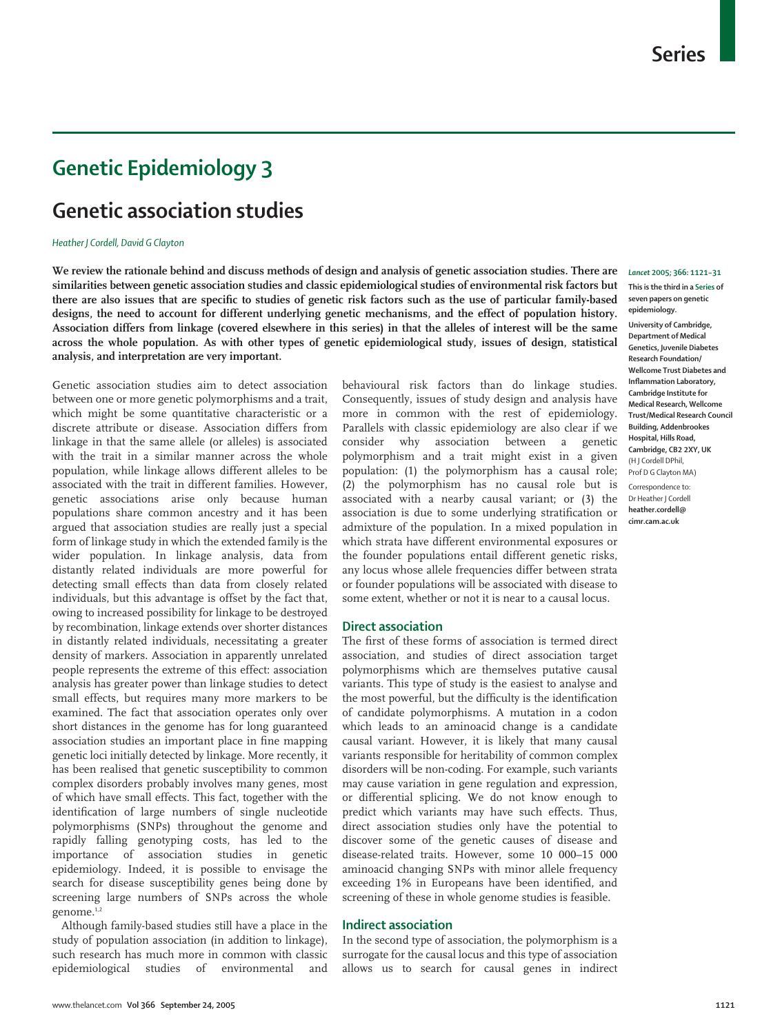# **Genetic Epidemiology 3**

## **Genetic association studies**

## *Heather J Cordell, David G Clayton*

**We review the rationale behind and discuss methods of design and analysis of genetic association studies. There are similarities between genetic association studies and classic epidemiological studies of environmental risk factors but there are also issues that are specific to studies of genetic risk factors such as the use of particular family-based designs, the need to account for different underlying genetic mechanisms, and the effect of population history. Association differs from linkage (covered elsewhere in this series) in that the alleles of interest will be the same across the whole population. As with other types of genetic epidemiological study, issues of design, statistical analysis, and interpretation are very important.**

Genetic association studies aim to detect association between one or more genetic polymorphisms and a trait, which might be some quantitative characteristic or a discrete attribute or disease. Association differs from linkage in that the same allele (or alleles) is associated with the trait in a similar manner across the whole population, while linkage allows different alleles to be associated with the trait in different families. However, genetic associations arise only because human populations share common ancestry and it has been argued that association studies are really just a special form of linkage study in which the extended family is the wider population. In linkage analysis, data from distantly related individuals are more powerful for detecting small effects than data from closely related individuals, but this advantage is offset by the fact that, owing to increased possibility for linkage to be destroyed by recombination, linkage extends over shorter distances in distantly related individuals, necessitating a greater density of markers. Association in apparently unrelated people represents the extreme of this effect: association analysis has greater power than linkage studies to detect small effects, but requires many more markers to be examined. The fact that association operates only over short distances in the genome has for long guaranteed association studies an important place in fine mapping genetic loci initially detected by linkage. More recently, it has been realised that genetic susceptibility to common complex disorders probably involves many genes, most of which have small effects. This fact, together with the identification of large numbers of single nucleotide polymorphisms (SNPs) throughout the genome and rapidly falling genotyping costs, has led to the importance of association studies in genetic epidemiology. Indeed, it is possible to envisage the search for disease susceptibility genes being done by screening large numbers of SNPs across the whole genome.<sup>1,2</sup>

Although family-based studies still have a place in the study of population association (in addition to linkage), such research has much more in common with classic epidemiological studies of environmental and

behavioural risk factors than do linkage studies. Consequently, issues of study design and analysis have more in common with the rest of epidemiology. Parallels with classic epidemiology are also clear if we consider why association between a genetic polymorphism and a trait might exist in a given population: (1) the polymorphism has a causal role; (2) the polymorphism has no causal role but is associated with a nearby causal variant; or (3) the association is due to some underlying stratification or admixture of the population. In a mixed population in which strata have different environmental exposures or the founder populations entail different genetic risks, any locus whose allele frequencies differ between strata or founder populations will be associated with disease to some extent, whether or not it is near to a causal locus.

## **Direct association**

The first of these forms of association is termed direct association, and studies of direct association target polymorphisms which are themselves putative causal variants. This type of study is the easiest to analyse and the most powerful, but the difficulty is the identification of candidate polymorphisms. A mutation in a codon which leads to an aminoacid change is a candidate causal variant. However, it is likely that many causal variants responsible for heritability of common complex disorders will be non-coding. For example, such variants may cause variation in gene regulation and expression, or differential splicing. We do not know enough to predict which variants may have such effects. Thus, direct association studies only have the potential to discover some of the genetic causes of disease and disease-related traits. However, some 10 000–15 000 aminoacid changing SNPs with minor allele frequency exceeding 1% in Europeans have been identified, and screening of these in whole genome studies is feasible.

## **Indirect association**

In the second type of association, the polymorphism is a surrogate for the causal locus and this type of association allows us to search for causal genes in indirect

#### *Lancet* **2005; 366: 1121–31**

**This is the third in a Series of seven papers on genetic epidemiology. University of Cambridge,**

**Department of Medical Genetics, Juvenile Diabetes Research Foundation/ Wellcome Trust Diabetes and Inflammation Laboratory, Cambridge Institute for Medical Research, Wellcome Trust/Medical Research Council Building, Addenbrookes Hospital, Hills Road, Cambridge, CB2 2XY, UK** (H J Cordell DPhil, Prof D G Clayton MA)

Correspondence to: Dr Heather J Cordell **heather.cordell@ cimr.cam.ac.uk**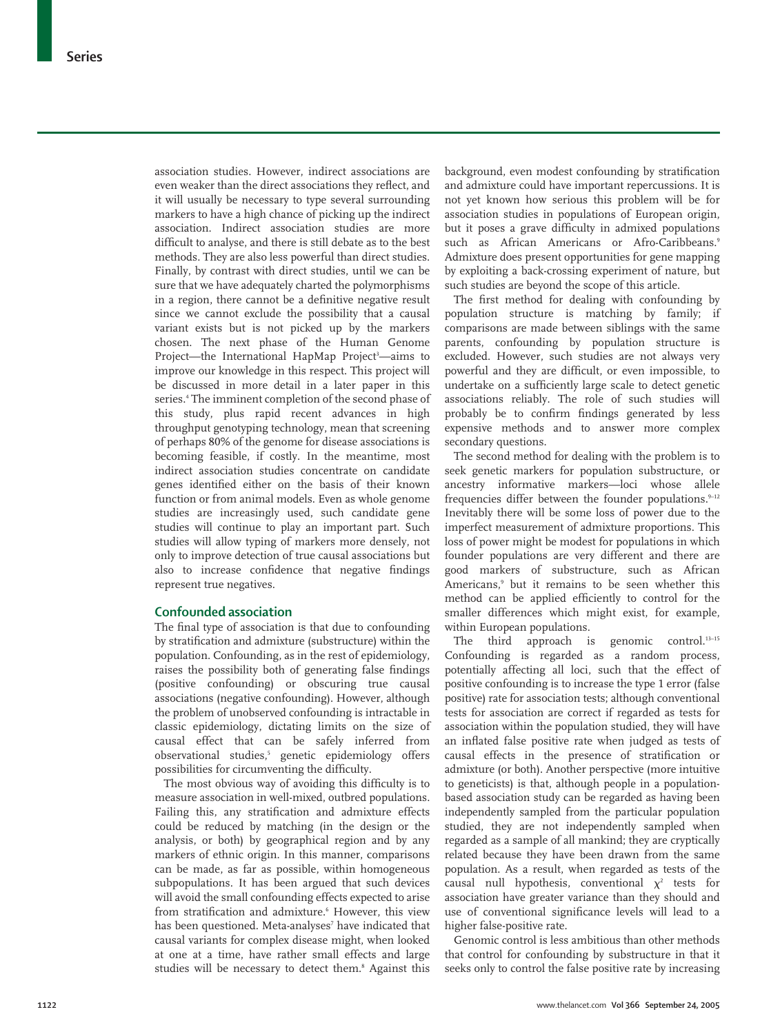association studies. However, indirect associations are even weaker than the direct associations they reflect, and it will usually be necessary to type several surrounding markers to have a high chance of picking up the indirect association. Indirect association studies are more difficult to analyse, and there is still debate as to the best methods. They are also less powerful than direct studies. Finally, by contrast with direct studies, until we can be sure that we have adequately charted the polymorphisms in a region, there cannot be a definitive negative result since we cannot exclude the possibility that a causal variant exists but is not picked up by the markers chosen. The next phase of the Human Genome Project—the International HapMap Project<sup>3</sup>—aims to improve our knowledge in this respect. This project will be discussed in more detail in a later paper in this series.<sup>4</sup> The imminent completion of the second phase of this study, plus rapid recent advances in high throughput genotyping technology, mean that screening of perhaps 80% of the genome for disease associations is becoming feasible, if costly. In the meantime, most indirect association studies concentrate on candidate genes identified either on the basis of their known function or from animal models. Even as whole genome studies are increasingly used, such candidate gene studies will continue to play an important part. Such studies will allow typing of markers more densely, not only to improve detection of true causal associations but also to increase confidence that negative findings represent true negatives.

## **Confounded association**

The final type of association is that due to confounding by stratification and admixture (substructure) within the population. Confounding, as in the rest of epidemiology, raises the possibility both of generating false findings (positive confounding) or obscuring true causal associations (negative confounding). However, although the problem of unobserved confounding is intractable in classic epidemiology, dictating limits on the size of causal effect that can be safely inferred from observational studies,<sup>5</sup> genetic epidemiology offers possibilities for circumventing the difficulty.

The most obvious way of avoiding this difficulty is to measure association in well-mixed, outbred populations. Failing this, any stratification and admixture effects could be reduced by matching (in the design or the analysis, or both) by geographical region and by any markers of ethnic origin. In this manner, comparisons can be made, as far as possible, within homogeneous subpopulations. It has been argued that such devices will avoid the small confounding effects expected to arise from stratification and admixture.<sup>6</sup> However, this view has been questioned. Meta-analyses<sup>7</sup> have indicated that causal variants for complex disease might, when looked at one at a time, have rather small effects and large studies will be necessary to detect them.8 Against this

background, even modest confounding by stratification and admixture could have important repercussions. It is not yet known how serious this problem will be for association studies in populations of European origin, but it poses a grave difficulty in admixed populations such as African Americans or Afro-Caribbeans.9 Admixture does present opportunities for gene mapping by exploiting a back-crossing experiment of nature, but such studies are beyond the scope of this article.

The first method for dealing with confounding by population structure is matching by family; if comparisons are made between siblings with the same parents, confounding by population structure is excluded. However, such studies are not always very powerful and they are difficult, or even impossible, to undertake on a sufficiently large scale to detect genetic associations reliably. The role of such studies will probably be to confirm findings generated by less expensive methods and to answer more complex secondary questions.

The second method for dealing with the problem is to seek genetic markers for population substructure, or ancestry informative markers—loci whose allele frequencies differ between the founder populations. $9-12$ Inevitably there will be some loss of power due to the imperfect measurement of admixture proportions. This loss of power might be modest for populations in which founder populations are very different and there are good markers of substructure, such as African Americans.<sup>9</sup> but it remains to be seen whether this method can be applied efficiently to control for the smaller differences which might exist, for example, within European populations.

The third approach is genomic control.<sup>13-15</sup> Confounding is regarded as a random process, potentially affecting all loci, such that the effect of positive confounding is to increase the type 1 error (false positive) rate for association tests; although conventional tests for association are correct if regarded as tests for association within the population studied, they will have an inflated false positive rate when judged as tests of causal effects in the presence of stratification or admixture (or both). Another perspective (more intuitive to geneticists) is that, although people in a populationbased association study can be regarded as having been independently sampled from the particular population studied, they are not independently sampled when regarded as a sample of all mankind; they are cryptically related because they have been drawn from the same population. As a result, when regarded as tests of the causal null hypothesis, conventional  $\chi^2$  tests for association have greater variance than they should and use of conventional significance levels will lead to a higher false-positive rate.

Genomic control is less ambitious than other methods that control for confounding by substructure in that it seeks only to control the false positive rate by increasing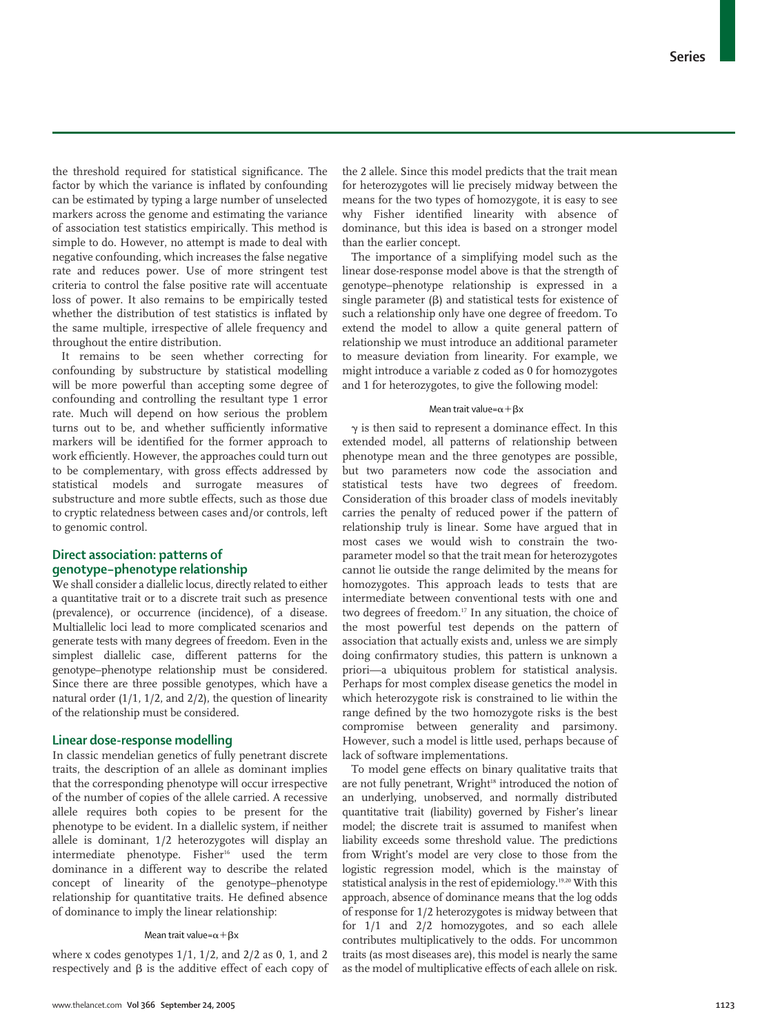the threshold required for statistical significance. The factor by which the variance is inflated by confounding can be estimated by typing a large number of unselected markers across the genome and estimating the variance of association test statistics empirically. This method is simple to do. However, no attempt is made to deal with negative confounding, which increases the false negative rate and reduces power. Use of more stringent test criteria to control the false positive rate will accentuate loss of power. It also remains to be empirically tested whether the distribution of test statistics is inflated by the same multiple, irrespective of allele frequency and throughout the entire distribution.

It remains to be seen whether correcting for confounding by substructure by statistical modelling will be more powerful than accepting some degree of confounding and controlling the resultant type 1 error rate. Much will depend on how serious the problem turns out to be, and whether sufficiently informative markers will be identified for the former approach to work efficiently. However, the approaches could turn out to be complementary, with gross effects addressed by statistical models and surrogate measures of substructure and more subtle effects, such as those due to cryptic relatedness between cases and/or controls, left to genomic control.

## **Direct association: patterns of genotype–phenotype relationship**

We shall consider a diallelic locus, directly related to either a quantitative trait or to a discrete trait such as presence (prevalence), or occurrence (incidence), of a disease. Multiallelic loci lead to more complicated scenarios and generate tests with many degrees of freedom. Even in the simplest diallelic case, different patterns for the genotype–phenotype relationship must be considered. Since there are three possible genotypes, which have a natural order  $(1/1, 1/2,$  and  $2/2)$ , the question of linearity of the relationship must be considered.

## **Linear dose-response modelling**

In classic mendelian genetics of fully penetrant discrete traits, the description of an allele as dominant implies that the corresponding phenotype will occur irrespective of the number of copies of the allele carried. A recessive allele requires both copies to be present for the phenotype to be evident. In a diallelic system, if neither allele is dominant, 1/2 heterozygotes will display an intermediate phenotype. Fisher<sup>16</sup> used the term dominance in a different way to describe the related concept of linearity of the genotype–phenotype relationship for quantitative traits. He defined absence of dominance to imply the linear relationship:

#### Mean trait value= $\alpha + \beta$ x

where x codes genotypes  $1/1$ ,  $1/2$ , and  $2/2$  as 0, 1, and 2 respectively and  $\beta$  is the additive effect of each copy of the 2 allele. Since this model predicts that the trait mean for heterozygotes will lie precisely midway between the means for the two types of homozygote, it is easy to see why Fisher identified linearity with absence of dominance, but this idea is based on a stronger model than the earlier concept.

The importance of a simplifying model such as the linear dose-response model above is that the strength of genotype–phenotype relationship is expressed in a single parameter  $(\beta)$  and statistical tests for existence of such a relationship only have one degree of freedom. To extend the model to allow a quite general pattern of relationship we must introduce an additional parameter to measure deviation from linearity. For example, we might introduce a variable z coded as 0 for homozygotes and 1 for heterozygotes, to give the following model:

#### Mean trait value= $\alpha + \beta$ x

 $\gamma$  is then said to represent a dominance effect. In this extended model, all patterns of relationship between phenotype mean and the three genotypes are possible, but two parameters now code the association and statistical tests have two degrees of freedom. Consideration of this broader class of models inevitably carries the penalty of reduced power if the pattern of relationship truly is linear. Some have argued that in most cases we would wish to constrain the twoparameter model so that the trait mean for heterozygotes cannot lie outside the range delimited by the means for homozygotes. This approach leads to tests that are intermediate between conventional tests with one and two degrees of freedom.<sup>17</sup> In any situation, the choice of the most powerful test depends on the pattern of association that actually exists and, unless we are simply doing confirmatory studies, this pattern is unknown a priori—a ubiquitous problem for statistical analysis. Perhaps for most complex disease genetics the model in which heterozygote risk is constrained to lie within the range defined by the two homozygote risks is the best compromise between generality and parsimony. However, such a model is little used, perhaps because of lack of software implementations.

To model gene effects on binary qualitative traits that are not fully penetrant, Wright<sup>18</sup> introduced the notion of an underlying, unobserved, and normally distributed quantitative trait (liability) governed by Fisher's linear model; the discrete trait is assumed to manifest when liability exceeds some threshold value. The predictions from Wright's model are very close to those from the logistic regression model, which is the mainstay of statistical analysis in the rest of epidemiology.19,20 With this approach, absence of dominance means that the log odds of response for 1/2 heterozygotes is midway between that for 1/1 and 2/2 homozygotes, and so each allele contributes multiplicatively to the odds. For uncommon traits (as most diseases are), this model is nearly the same as the model of multiplicative effects of each allele on risk.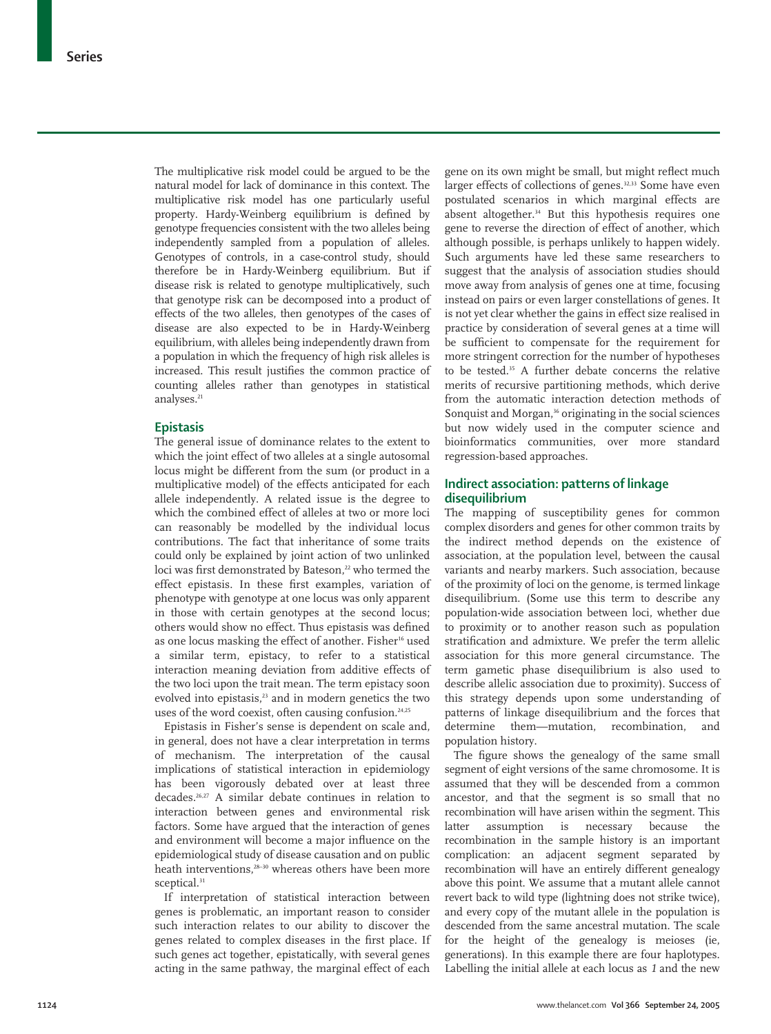The multiplicative risk model could be argued to be the natural model for lack of dominance in this context. The multiplicative risk model has one particularly useful property. Hardy-Weinberg equilibrium is defined by genotype frequencies consistent with the two alleles being independently sampled from a population of alleles. Genotypes of controls, in a case-control study, should therefore be in Hardy-Weinberg equilibrium. But if disease risk is related to genotype multiplicatively, such that genotype risk can be decomposed into a product of effects of the two alleles, then genotypes of the cases of disease are also expected to be in Hardy-Weinberg equilibrium, with alleles being independently drawn from a population in which the frequency of high risk alleles is increased. This result justifies the common practice of counting alleles rather than genotypes in statistical analyses.<sup>21</sup>

### **Epistasis**

The general issue of dominance relates to the extent to which the joint effect of two alleles at a single autosomal locus might be different from the sum (or product in a multiplicative model) of the effects anticipated for each allele independently. A related issue is the degree to which the combined effect of alleles at two or more loci can reasonably be modelled by the individual locus contributions. The fact that inheritance of some traits could only be explained by joint action of two unlinked loci was first demonstrated by Bateson,<sup>22</sup> who termed the effect epistasis. In these first examples, variation of phenotype with genotype at one locus was only apparent in those with certain genotypes at the second locus; others would show no effect. Thus epistasis was defined as one locus masking the effect of another. Fisher<sup>16</sup> used a similar term, epistacy, to refer to a statistical interaction meaning deviation from additive effects of the two loci upon the trait mean. The term epistacy soon evolved into epistasis,<sup>23</sup> and in modern genetics the two uses of the word coexist, often causing confusion.<sup>24,25</sup>

Epistasis in Fisher's sense is dependent on scale and, in general, does not have a clear interpretation in terms of mechanism. The interpretation of the causal implications of statistical interaction in epidemiology has been vigorously debated over at least three decades.26,27 A similar debate continues in relation to interaction between genes and environmental risk factors. Some have argued that the interaction of genes and environment will become a major influence on the epidemiological study of disease causation and on public heath interventions,<sup>28–30</sup> whereas others have been more sceptical.<sup>31</sup>

If interpretation of statistical interaction between genes is problematic, an important reason to consider such interaction relates to our ability to discover the genes related to complex diseases in the first place. If such genes act together, epistatically, with several genes acting in the same pathway, the marginal effect of each

gene on its own might be small, but might reflect much larger effects of collections of genes.<sup>32,33</sup> Some have even postulated scenarios in which marginal effects are absent altogether.<sup>34</sup> But this hypothesis requires one gene to reverse the direction of effect of another, which although possible, is perhaps unlikely to happen widely. Such arguments have led these same researchers to suggest that the analysis of association studies should move away from analysis of genes one at time, focusing instead on pairs or even larger constellations of genes. It is not yet clear whether the gains in effect size realised in practice by consideration of several genes at a time will be sufficient to compensate for the requirement for more stringent correction for the number of hypotheses to be tested.<sup>35</sup> A further debate concerns the relative merits of recursive partitioning methods, which derive from the automatic interaction detection methods of Sonquist and Morgan,<sup>36</sup> originating in the social sciences but now widely used in the computer science and bioinformatics communities, over more standard regression-based approaches.

## **Indirect association: patterns of linkage disequilibrium**

The mapping of susceptibility genes for common complex disorders and genes for other common traits by the indirect method depends on the existence of association, at the population level, between the causal variants and nearby markers. Such association, because of the proximity of loci on the genome, is termed linkage disequilibrium. (Some use this term to describe any population-wide association between loci, whether due to proximity or to another reason such as population stratification and admixture. We prefer the term allelic association for this more general circumstance. The term gametic phase disequilibrium is also used to describe allelic association due to proximity). Success of this strategy depends upon some understanding of patterns of linkage disequilibrium and the forces that determine them—mutation, recombination, and population history.

The figure shows the genealogy of the same small segment of eight versions of the same chromosome. It is assumed that they will be descended from a common ancestor, and that the segment is so small that no recombination will have arisen within the segment. This latter assumption is necessary because the recombination in the sample history is an important complication: an adjacent segment separated by recombination will have an entirely different genealogy above this point. We assume that a mutant allele cannot revert back to wild type (lightning does not strike twice), and every copy of the mutant allele in the population is descended from the same ancestral mutation. The scale for the height of the genealogy is meioses (ie, generations). In this example there are four haplotypes. Labelling the initial allele at each locus as *1* and the new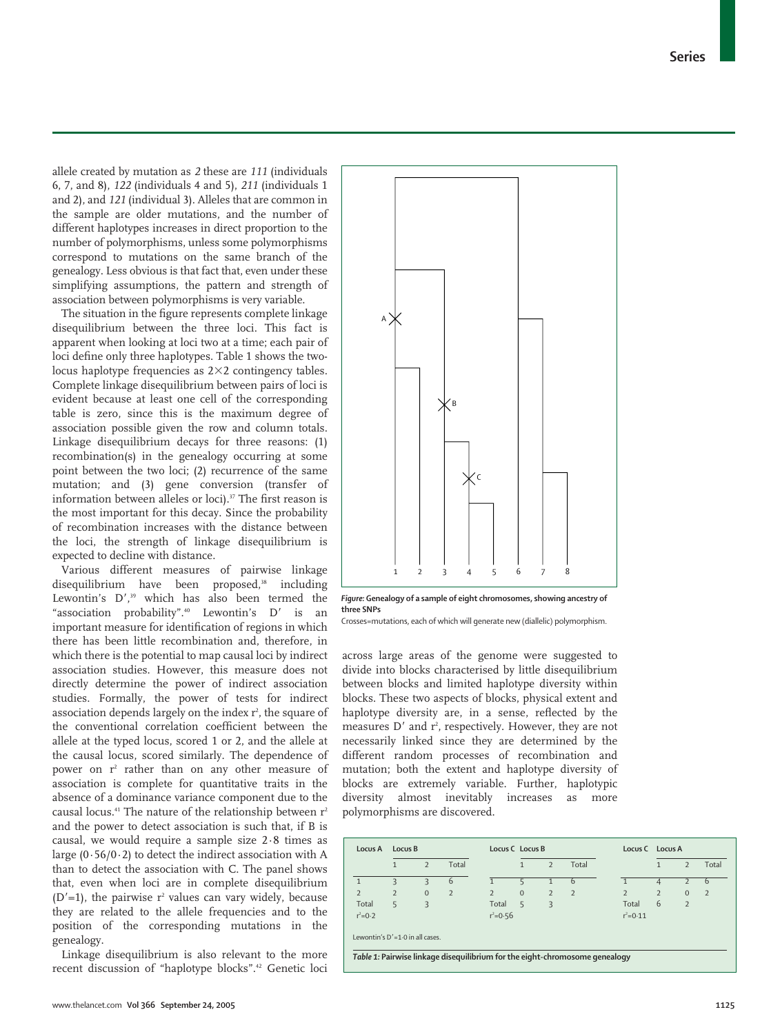allele created by mutation as *2* these are *111* (individuals 6, 7, and 8), *122* (individuals 4 and 5), *211* (individuals 1 and 2), and *121* (individual 3). Alleles that are common in the sample are older mutations, and the number of different haplotypes increases in direct proportion to the number of polymorphisms, unless some polymorphisms correspond to mutations on the same branch of the genealogy. Less obvious is that fact that, even under these simplifying assumptions, the pattern and strength of association between polymorphisms is very variable.

The situation in the figure represents complete linkage disequilibrium between the three loci. This fact is apparent when looking at loci two at a time; each pair of loci define only three haplotypes. Table 1 shows the twolocus haplotype frequencies as  $2\times 2$  contingency tables. Complete linkage disequilibrium between pairs of loci is evident because at least one cell of the corresponding table is zero, since this is the maximum degree of association possible given the row and column totals. Linkage disequilibrium decays for three reasons: (1) recombination(s) in the genealogy occurring at some point between the two loci; (2) recurrence of the same mutation; and (3) gene conversion (transfer of information between alleles or loci).<sup>37</sup> The first reason is the most important for this decay. Since the probability of recombination increases with the distance between the loci, the strength of linkage disequilibrium is expected to decline with distance.

Various different measures of pairwise linkage disequilibrium have been proposed,<sup>38</sup> including Lewontin's D',<sup>39</sup> which has also been termed the "association probability".<sup>40</sup> Lewontin's D' is an important measure for identification of regions in which there has been little recombination and, therefore, in which there is the potential to map causal loci by indirect association studies. However, this measure does not directly determine the power of indirect association studies. Formally, the power of tests for indirect association depends largely on the index  $r^2$ , the square of the conventional correlation coefficient between the allele at the typed locus, scored 1 or 2, and the allele at the causal locus, scored similarly. The dependence of power on  $r^2$  rather than on any other measure of association is complete for quantitative traits in the absence of a dominance variance component due to the causal locus.<sup>41</sup> The nature of the relationship between r<sup>2</sup> and the power to detect association is such that, if B is causal, we would require a sample size  $2.8$  times as large  $(0.56/0.2)$  to detect the indirect association with A than to detect the association with C. The panel shows that, even when loci are in complete disequilibrium  $(D'=1)$ , the pairwise r<sup>2</sup> values can vary widely, because they are related to the allele frequencies and to the position of the corresponding mutations in the genealogy.

Linkage disequilibrium is also relevant to the more recent discussion of "haplotype blocks".42 Genetic loci



*Figure:* **Genealogy of a sample of eight chromosomes, showing ancestry of three SNPs**

Crosses=mutations, each of which will generate new (diallelic) polymorphism.

across large areas of the genome were suggested to divide into blocks characterised by little disequilibrium between blocks and limited haplotype diversity within blocks. These two aspects of blocks, physical extent and haplotype diversity are, in a sense, reflected by the measures  $D'$  and  $r^2$ , respectively. However, they are not necessarily linked since they are determined by the different random processes of recombination and mutation; both the extent and haplotype diversity of blocks are extremely variable. Further, haplotypic diversity almost inevitably increases as more polymorphisms are discovered.

| Locus A                             |               | Locus C Locus B<br>Locus B |                |               |              | Locus C Locus A |                |               |               |                |                |
|-------------------------------------|---------------|----------------------------|----------------|---------------|--------------|-----------------|----------------|---------------|---------------|----------------|----------------|
|                                     | 1             | $\mathcal{P}$              | Total          |               |              | $\mathcal{P}$   | Total          |               | 1             | $\overline{2}$ | Total          |
| 1                                   | ζ             | $\mathbf{R}$               | 6              | 1             |              | 1               | b              |               |               |                | D              |
| $\overline{\phantom{a}}$            | $\mathcal{P}$ | $\overline{0}$             | $\overline{2}$ | $\mathcal{P}$ | $\mathbf{0}$ | $\mathcal{P}$   | $\overline{z}$ | $\mathcal{P}$ | $\mathcal{P}$ | $\mathbf{0}$   | $\overline{2}$ |
| Total                               | 5             | 3                          |                | Total         | 5            | 3               |                | Total         | 6             | $\overline{2}$ |                |
| $r^2 = 0.2$                         |               |                            |                | $r^2 = 0.56$  |              |                 |                | $r^2 = 0.11$  |               |                |                |
| Lewontin's $D' = 1.0$ in all cases. |               |                            |                |               |              |                 |                |               |               |                |                |

*Table 1:* **Pairwise linkage disequilibrium for the eight-chromosome genealogy**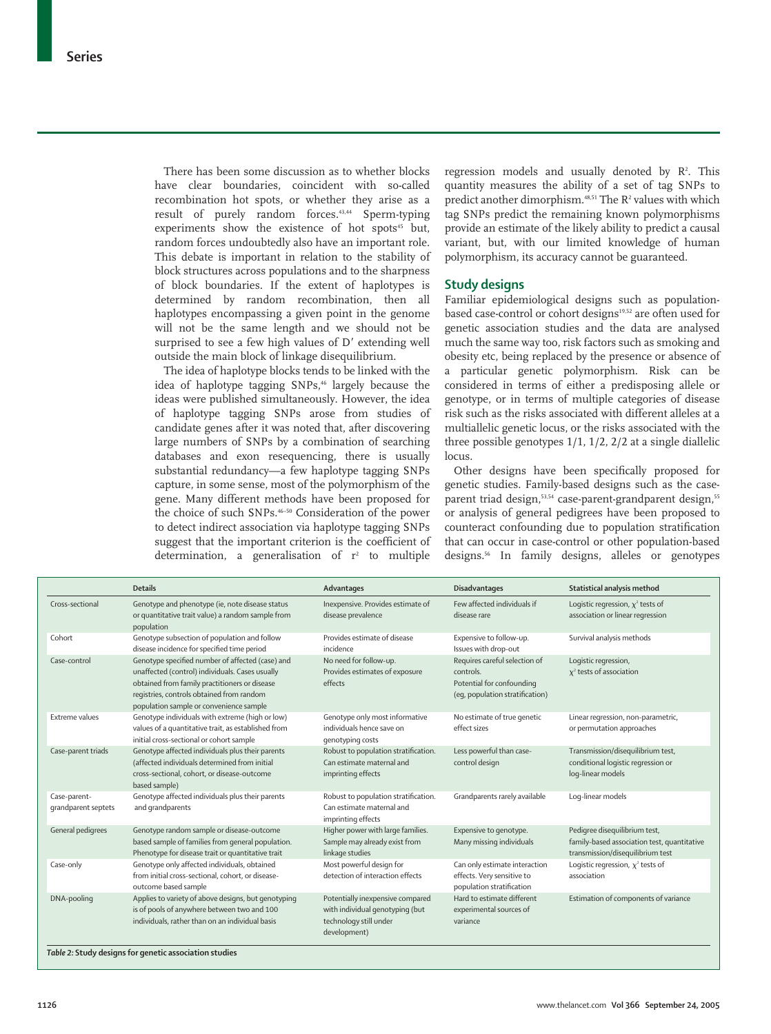There has been some discussion as to whether blocks have clear boundaries, coincident with so-called recombination hot spots, or whether they arise as a result of purely random forces.43,44 Sperm-typing experiments show the existence of hot spots<sup>45</sup> but, random forces undoubtedly also have an important role. This debate is important in relation to the stability of block structures across populations and to the sharpness of block boundaries. If the extent of haplotypes is determined by random recombination, then all haplotypes encompassing a given point in the genome will not be the same length and we should not be surprised to see a few high values of D' extending well outside the main block of linkage disequilibrium.

The idea of haplotype blocks tends to be linked with the idea of haplotype tagging SNPs,<sup>46</sup> largely because the ideas were published simultaneously. However, the idea of haplotype tagging SNPs arose from studies of candidate genes after it was noted that, after discovering large numbers of SNPs by a combination of searching databases and exon resequencing, there is usually substantial redundancy—a few haplotype tagging SNPs capture, in some sense, most of the polymorphism of the gene. Many different methods have been proposed for the choice of such SNPs.46–50 Consideration of the power to detect indirect association via haplotype tagging SNPs suggest that the important criterion is the coefficient of determination, a generalisation of  $r^2$  to multiple

regression models and usually denoted by  $\mathbb{R}^2$ . This quantity measures the ability of a set of tag SNPs to predict another dimorphism.<sup>48,51</sup> The R<sup>2</sup> values with which tag SNPs predict the remaining known polymorphisms provide an estimate of the likely ability to predict a causal variant, but, with our limited knowledge of human polymorphism, its accuracy cannot be guaranteed.

## **Study designs**

Familiar epidemiological designs such as populationbased case-control or cohort designs<sup>19,52</sup> are often used for genetic association studies and the data are analysed much the same way too, risk factors such as smoking and obesity etc, being replaced by the presence or absence of a particular genetic polymorphism. Risk can be considered in terms of either a predisposing allele or genotype, or in terms of multiple categories of disease risk such as the risks associated with different alleles at a multiallelic genetic locus, or the risks associated with the three possible genotypes 1/1, 1/2, 2/2 at a single diallelic locus.

Other designs have been specifically proposed for genetic studies. Family-based designs such as the caseparent triad design,<sup>53,54</sup> case-parent-grandparent design,<sup>55</sup> or analysis of general pedigrees have been proposed to counteract confounding due to population stratification that can occur in case-control or other population-based designs.56 In family designs, alleles or genotypes

|                     | <b>Details</b>                                                                                                                                                                                                                               | Advantages                                                                                                    | Disadvantages                                                                                              | Statistical analysis method                                                                                      |
|---------------------|----------------------------------------------------------------------------------------------------------------------------------------------------------------------------------------------------------------------------------------------|---------------------------------------------------------------------------------------------------------------|------------------------------------------------------------------------------------------------------------|------------------------------------------------------------------------------------------------------------------|
| Cross-sectional     | Genotype and phenotype (ie, note disease status<br>or quantitative trait value) a random sample from<br>population                                                                                                                           | Inexpensive. Provides estimate of<br>disease prevalence                                                       | Few affected individuals if<br>disease rare                                                                | Logistic regression, $\chi^2$ tests of<br>association or linear regression                                       |
| Cohort              | Genotype subsection of population and follow                                                                                                                                                                                                 | Provides estimate of disease                                                                                  | Expensive to follow-up.                                                                                    | Survival analysis methods                                                                                        |
|                     | disease incidence for specified time period                                                                                                                                                                                                  | incidence                                                                                                     | Issues with drop-out                                                                                       |                                                                                                                  |
| Case-control        | Genotype specified number of affected (case) and<br>unaffected (control) individuals. Cases usually<br>obtained from family practitioners or disease<br>registries, controls obtained from random<br>population sample or convenience sample | No need for follow-up.<br>Provides estimates of exposure<br>effects                                           | Requires careful selection of<br>controls.<br>Potential for confounding<br>(eq, population stratification) | Logistic regression,<br>$\chi^2$ tests of association                                                            |
| Extreme values      | Genotype individuals with extreme (high or low)                                                                                                                                                                                              | Genotype only most informative                                                                                | No estimate of true genetic                                                                                | Linear regression, non-parametric,                                                                               |
|                     | values of a quantitative trait, as established from                                                                                                                                                                                          | individuals hence save on                                                                                     | effect sizes                                                                                               | or permutation approaches                                                                                        |
|                     | initial cross-sectional or cohort sample                                                                                                                                                                                                     | genotyping costs                                                                                              |                                                                                                            |                                                                                                                  |
| Case-parent triads  | Genotype affected individuals plus their parents<br>(affected individuals determined from initial<br>cross-sectional, cohort, or disease-outcome<br>based sample)                                                                            | Robust to population stratification.<br>Can estimate maternal and<br>imprinting effects                       | Less powerful than case-<br>control design                                                                 | Transmission/disequilibrium test,<br>conditional logistic regression or<br>log-linear models                     |
| Case-parent-        | Genotype affected individuals plus their parents                                                                                                                                                                                             | Robust to population stratification.                                                                          | Grandparents rarely available                                                                              | Loq-linear models                                                                                                |
| grandparent septets | and grandparents                                                                                                                                                                                                                             | Can estimate maternal and<br>imprinting effects                                                               |                                                                                                            |                                                                                                                  |
| General pedigrees   | Genotype random sample or disease-outcome<br>based sample of families from general population.<br>Phenotype for disease trait or quantitative trait                                                                                          | Higher power with large families.<br>Sample may already exist from<br>linkage studies                         | Expensive to genotype.<br>Many missing individuals                                                         | Pedigree disequilibrium test,<br>family-based association test, quantitative<br>transmission/disequilibrium test |
| Case-only           | Genotype only affected individuals, obtained                                                                                                                                                                                                 | Most powerful design for                                                                                      | Can only estimate interaction                                                                              | Logistic regression, $\chi^2$ tests of                                                                           |
|                     | from initial cross-sectional, cohort, or disease-<br>outcome based sample                                                                                                                                                                    | detection of interaction effects                                                                              | effects. Very sensitive to<br>population stratification                                                    | association                                                                                                      |
| DNA-pooling         | Applies to variety of above designs, but genotyping<br>is of pools of anywhere between two and 100<br>individuals, rather than on an individual basis                                                                                        | Potentially inexpensive compared<br>with individual genotyping (but<br>technology still under<br>development) | Hard to estimate different<br>experimental sources of<br>variance                                          | Estimation of components of variance                                                                             |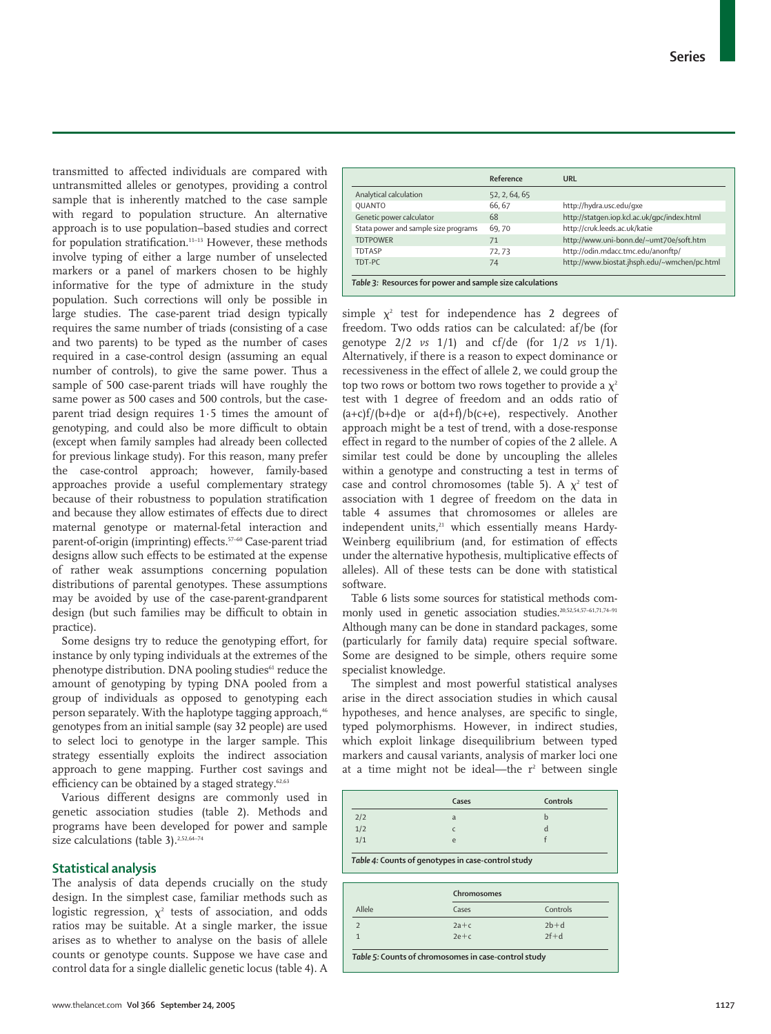transmitted to affected individuals are compared with untransmitted alleles or genotypes, providing a control sample that is inherently matched to the case sample with regard to population structure. An alternative approach is to use population–based studies and correct for population stratification.<sup>11–13</sup> However, these methods involve typing of either a large number of unselected markers or a panel of markers chosen to be highly informative for the type of admixture in the study population. Such corrections will only be possible in large studies. The case-parent triad design typically requires the same number of triads (consisting of a case and two parents) to be typed as the number of cases required in a case-control design (assuming an equal number of controls), to give the same power. Thus a sample of 500 case-parent triads will have roughly the same power as 500 cases and 500 controls, but the caseparent triad design requires 1·5 times the amount of genotyping, and could also be more difficult to obtain (except when family samples had already been collected for previous linkage study). For this reason, many prefer the case-control approach; however, family-based approaches provide a useful complementary strategy because of their robustness to population stratification and because they allow estimates of effects due to direct maternal genotype or maternal-fetal interaction and parent-of-origin (imprinting) effects.<sup>57-60</sup> Case-parent triad designs allow such effects to be estimated at the expense of rather weak assumptions concerning population distributions of parental genotypes. These assumptions may be avoided by use of the case-parent-grandparent design (but such families may be difficult to obtain in practice).

Some designs try to reduce the genotyping effort, for instance by only typing individuals at the extremes of the phenotype distribution. DNA pooling studies<sup>61</sup> reduce the amount of genotyping by typing DNA pooled from a group of individuals as opposed to genotyping each person separately. With the haplotype tagging approach,<sup>46</sup> genotypes from an initial sample (say 32 people) are used to select loci to genotype in the larger sample. This strategy essentially exploits the indirect association approach to gene mapping. Further cost savings and efficiency can be obtained by a staged strategy.<sup>62,63</sup>

Various different designs are commonly used in genetic association studies (table 2). Methods and programs have been developed for power and sample size calculations (table 3).<sup>2,52,64-74</sup>

## **Statistical analysis**

The analysis of data depends crucially on the study design. In the simplest case, familiar methods such as logistic regression,  $\chi^2$  tests of association, and odds ratios may be suitable. At a single marker, the issue arises as to whether to analyse on the basis of allele counts or genotype counts. Suppose we have case and control data for a single diallelic genetic locus (table 4). A

|                                                           | Reference     | URL                                          |  |  |  |
|-----------------------------------------------------------|---------------|----------------------------------------------|--|--|--|
| Analytical calculation                                    | 52, 2, 64, 65 |                                              |  |  |  |
| <b>OUANTO</b>                                             | 66, 67        | http://hydra.usc.edu/gxe                     |  |  |  |
| Genetic power calculator                                  | 68            | http://statgen.iop.kcl.ac.uk/gpc/index.html  |  |  |  |
| Stata power and sample size programs                      | 69,70         | http://cruk.leeds.ac.uk/katie                |  |  |  |
| <b>TDTPOWER</b>                                           | 71            | http://www.uni-bonn.de/~umt70e/soft.htm      |  |  |  |
| <b>TDTASP</b>                                             | 72,73         | http://odin.mdacc.tmc.edu/anonftp/           |  |  |  |
| TDT-PC                                                    | 74            | http://www.biostat.jhsph.edu/~wmchen/pc.html |  |  |  |
|                                                           |               |                                              |  |  |  |
| Table 3: Resources for power and sample size calculations |               |                                              |  |  |  |

simple  $\chi^2$  test for independence has 2 degrees of freedom. Two odds ratios can be calculated: af/be (for genotype 2/2 *vs* 1/1) and cf/de (for 1/2 *vs* 1/1). Alternatively, if there is a reason to expect dominance or recessiveness in the effect of allele 2, we could group the top two rows or bottom two rows together to provide a  $\chi^2$ test with 1 degree of freedom and an odds ratio of  $(a+c)f/(b+d)e$  or  $a(d+f)/b(c+e)$ , respectively. Another approach might be a test of trend, with a dose-response effect in regard to the number of copies of the 2 allele. A similar test could be done by uncoupling the alleles within a genotype and constructing a test in terms of case and control chromosomes (table 5). A  $\chi^2$  test of association with 1 degree of freedom on the data in table 4 assumes that chromosomes or alleles are independent units.<sup>21</sup> which essentially means Hardy-Weinberg equilibrium (and, for estimation of effects under the alternative hypothesis, multiplicative effects of alleles). All of these tests can be done with statistical software.

Table 6 lists some sources for statistical methods commonly used in genetic association studies.<sup>20,52,54,57-61,71,74-91</sup> Although many can be done in standard packages, some (particularly for family data) require special software. Some are designed to be simple, others require some specialist knowledge.

The simplest and most powerful statistical analyses arise in the direct association studies in which causal hypotheses, and hence analyses, are specific to single, typed polymorphisms. However, in indirect studies, which exploit linkage disequilibrium between typed markers and causal variants, analysis of marker loci one at a time might not be ideal—the  $r^2$  between single

|                                                    | Cases      | Controls |  |  |
|----------------------------------------------------|------------|----------|--|--|
| 2/2                                                | a          |          |  |  |
| 1/2                                                |            |          |  |  |
| 1/1                                                | $\epsilon$ |          |  |  |
| Table 4: Counts of genotypes in case-control study |            |          |  |  |

|              | Chromosomes |          |
|--------------|-------------|----------|
| Allele       | Cases       | Controls |
|              | $2a+c$      | $2b+d$   |
| $\mathbf{1}$ | $2e+c$      | $2f+d$   |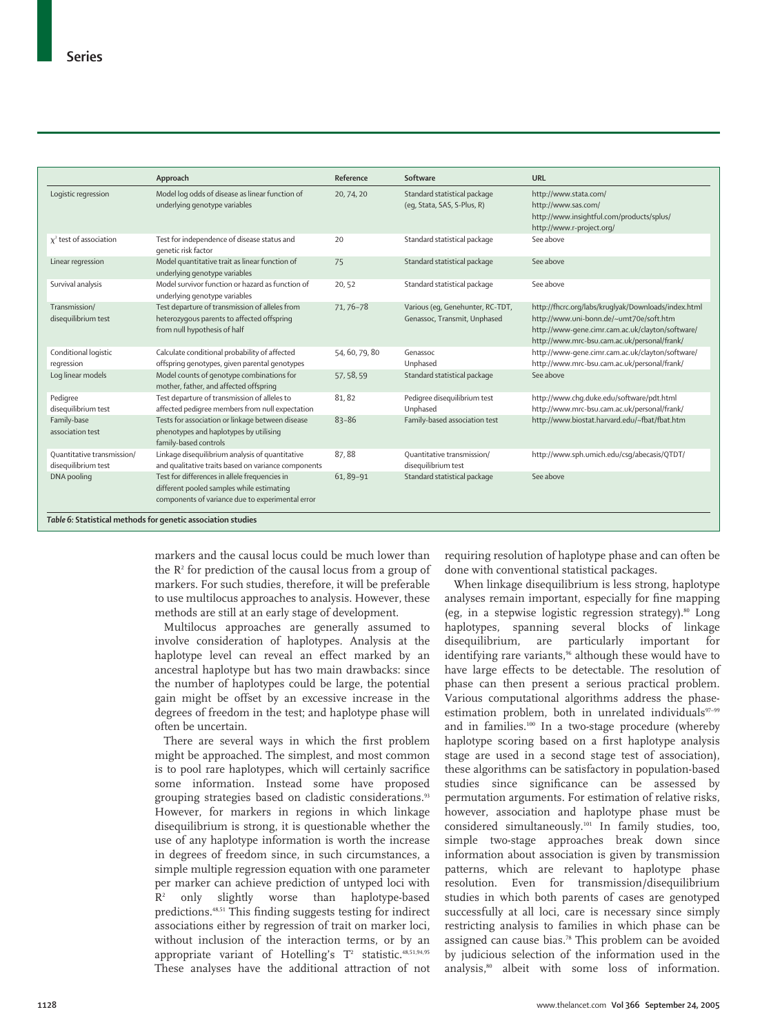|                                      | Approach                                                                                                                                       | Reference      | Software                                                         | <b>URL</b>                                                                                                                                                                                         |
|--------------------------------------|------------------------------------------------------------------------------------------------------------------------------------------------|----------------|------------------------------------------------------------------|----------------------------------------------------------------------------------------------------------------------------------------------------------------------------------------------------|
| Logistic regression                  | Model log odds of disease as linear function of<br>underlying genotype variables                                                               | 20, 74, 20     | Standard statistical package<br>(eq, Stata, SAS, S-Plus, R)      | http://www.stata.com/<br>http://www.sas.com/<br>http://www.insightful.com/products/splus/<br>http://www.r-project.org/                                                                             |
| $\chi^2$ test of association         | Test for independence of disease status and<br>genetic risk factor                                                                             | 20             | Standard statistical package                                     | See above                                                                                                                                                                                          |
| Linear regression                    | Model quantitative trait as linear function of<br>underlying genotype variables                                                                | 75             | Standard statistical package                                     | See above                                                                                                                                                                                          |
| Survival analysis                    | Model survivor function or hazard as function of<br>underlying genotype variables                                                              | 20,52          | Standard statistical package                                     | See above                                                                                                                                                                                          |
| Transmission/<br>disequilibrium test | Test departure of transmission of alleles from<br>heterozygous parents to affected offspring<br>from null hypothesis of half                   | 71, 76-78      | Various (eq, Genehunter, RC-TDT,<br>Genassoc, Transmit, Unphased | http://fhcrc.org/labs/kruglyak/Downloads/index.html<br>http://www.uni-bonn.de/~umt70e/soft.htm<br>http://www-gene.cimr.cam.ac.uk/clayton/software/<br>http://www.mrc-bsu.cam.ac.uk/personal/frank/ |
| Conditional logistic                 | Calculate conditional probability of affected                                                                                                  | 54, 60, 79, 80 | Genassoc                                                         | http://www-gene.cimr.cam.ac.uk/clayton/software/                                                                                                                                                   |
| regression                           | offspring genotypes, given parental genotypes                                                                                                  |                | Unphased                                                         | http://www.mrc-bsu.cam.ac.uk/personal/frank/                                                                                                                                                       |
| Log linear models                    | Model counts of genotype combinations for<br>mother, father, and affected offspring                                                            | 57, 58, 59     | Standard statistical package                                     | See above                                                                                                                                                                                          |
| Pedigree                             | Test departure of transmission of alleles to                                                                                                   | 81,82          | Pedigree disequilibrium test                                     | http://www.chq.duke.edu/software/pdt.html                                                                                                                                                          |
| disequilibrium test                  | affected pedigree members from null expectation                                                                                                |                | Unphased                                                         | http://www.mrc-bsu.cam.ac.uk/personal/frank/                                                                                                                                                       |
| Family-base<br>association test      | Tests for association or linkage between disease<br>phenotypes and haplotypes by utilising<br>family-based controls                            | $83 - 86$      | Family-based association test                                    | http://www.biostat.harvard.edu/~fbat/fbat.htm                                                                                                                                                      |
| Quantitative transmission/           | Linkage disequilibrium analysis of quantitative                                                                                                | 87,88          | Quantitative transmission/                                       | http://www.sph.umich.edu/csq/abecasis/QTDT/                                                                                                                                                        |
| disequilibrium test                  | and qualitative traits based on variance components                                                                                            |                | disequilibrium test                                              |                                                                                                                                                                                                    |
| DNA pooling                          | Test for differences in allele frequencies in<br>different pooled samples while estimating<br>components of variance due to experimental error | 61, 89-91      | Standard statistical package                                     | See above                                                                                                                                                                                          |

markers and the causal locus could be much lower than the  $R<sup>2</sup>$  for prediction of the causal locus from a group of markers. For such studies, therefore, it will be preferable to use multilocus approaches to analysis. However, these methods are still at an early stage of development.

Multilocus approaches are generally assumed to involve consideration of haplotypes. Analysis at the haplotype level can reveal an effect marked by an ancestral haplotype but has two main drawbacks: since the number of haplotypes could be large, the potential gain might be offset by an excessive increase in the degrees of freedom in the test; and haplotype phase will often be uncertain.

There are several ways in which the first problem might be approached. The simplest, and most common is to pool rare haplotypes, which will certainly sacrifice some information. Instead some have proposed grouping strategies based on cladistic considerations.<sup>93</sup> However, for markers in regions in which linkage disequilibrium is strong, it is questionable whether the use of any haplotype information is worth the increase in degrees of freedom since, in such circumstances, a simple multiple regression equation with one parameter per marker can achieve prediction of untyped loci with  $R^2$  only slightly worse than haplotype-based predictions.48,51 This finding suggests testing for indirect associations either by regression of trait on marker loci, without inclusion of the interaction terms, or by an appropriate variant of Hotelling's  $T^2$  statistic.<sup>48,51,94,95</sup> These analyses have the additional attraction of not

requiring resolution of haplotype phase and can often be done with conventional statistical packages.

When linkage disequilibrium is less strong, haplotype analyses remain important, especially for fine mapping (eg, in a stepwise logistic regression strategy).<sup>80</sup> Long haplotypes, spanning several blocks of linkage disequilibrium, are particularly important for identifying rare variants,<sup>96</sup> although these would have to have large effects to be detectable. The resolution of phase can then present a serious practical problem. Various computational algorithms address the phaseestimation problem, both in unrelated individuals<sup>97-99</sup> and in families.100 In a two-stage procedure (whereby haplotype scoring based on a first haplotype analysis stage are used in a second stage test of association), these algorithms can be satisfactory in population-based studies since significance can be assessed by permutation arguments. For estimation of relative risks, however, association and haplotype phase must be considered simultaneously.101 In family studies, too, simple two-stage approaches break down since information about association is given by transmission patterns, which are relevant to haplotype phase resolution. Even for transmission/disequilibrium studies in which both parents of cases are genotyped successfully at all loci, care is necessary since simply restricting analysis to families in which phase can be assigned can cause bias.<sup>78</sup> This problem can be avoided by judicious selection of the information used in the analysis,80 albeit with some loss of information.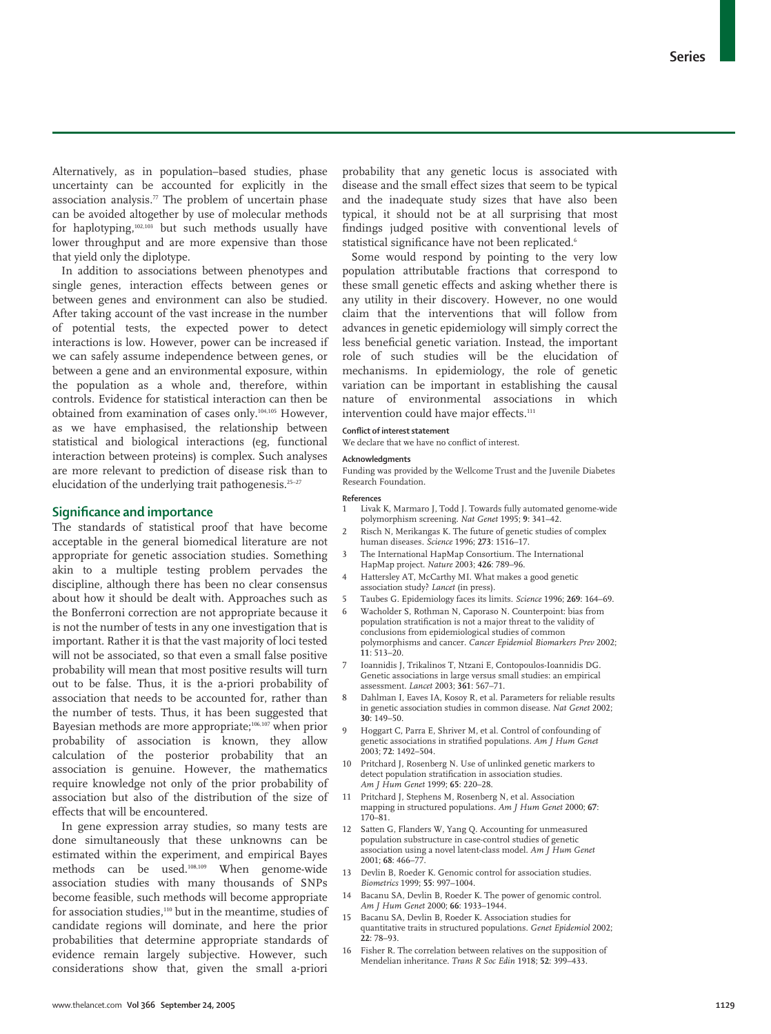Alternatively, as in population–based studies, phase uncertainty can be accounted for explicitly in the association analysis.77 The problem of uncertain phase can be avoided altogether by use of molecular methods for haplotyping,102,103 but such methods usually have lower throughput and are more expensive than those that yield only the diplotype.

In addition to associations between phenotypes and single genes, interaction effects between genes or between genes and environment can also be studied. After taking account of the vast increase in the number of potential tests, the expected power to detect interactions is low. However, power can be increased if we can safely assume independence between genes, or between a gene and an environmental exposure, within the population as a whole and, therefore, within controls. Evidence for statistical interaction can then be obtained from examination of cases only.104,105 However, as we have emphasised, the relationship between statistical and biological interactions (eg, functional interaction between proteins) is complex. Such analyses are more relevant to prediction of disease risk than to elucidation of the underlying trait pathogenesis.<sup>25-27</sup>

## **Significance and importance**

The standards of statistical proof that have become acceptable in the general biomedical literature are not appropriate for genetic association studies. Something akin to a multiple testing problem pervades the discipline, although there has been no clear consensus about how it should be dealt with. Approaches such as the Bonferroni correction are not appropriate because it is not the number of tests in any one investigation that is important. Rather it is that the vast majority of loci tested will not be associated, so that even a small false positive probability will mean that most positive results will turn out to be false. Thus, it is the a-priori probability of association that needs to be accounted for, rather than the number of tests. Thus, it has been suggested that Bayesian methods are more appropriate;<sup>106,107</sup> when prior probability of association is known, they allow calculation of the posterior probability that an association is genuine. However, the mathematics require knowledge not only of the prior probability of association but also of the distribution of the size of effects that will be encountered.

In gene expression array studies, so many tests are done simultaneously that these unknowns can be estimated within the experiment, and empirical Bayes methods can be used.108,109 When genome-wide association studies with many thousands of SNPs become feasible, such methods will become appropriate for association studies,<sup>110</sup> but in the meantime, studies of candidate regions will dominate, and here the prior probabilities that determine appropriate standards of evidence remain largely subjective. However, such considerations show that, given the small a-priori

probability that any genetic locus is associated with disease and the small effect sizes that seem to be typical and the inadequate study sizes that have also been typical, it should not be at all surprising that most findings judged positive with conventional levels of statistical significance have not been replicated.<sup>6</sup>

Some would respond by pointing to the very low population attributable fractions that correspond to these small genetic effects and asking whether there is any utility in their discovery. However, no one would claim that the interventions that will follow from advances in genetic epidemiology will simply correct the less beneficial genetic variation. Instead, the important role of such studies will be the elucidation of mechanisms. In epidemiology, the role of genetic variation can be important in establishing the causal nature of environmental associations in which intervention could have major effects.<sup>111</sup>

#### **Conflict of interest statement**

We declare that we have no conflict of interest.

#### **Acknowledgments**

Funding was provided by the Wellcome Trust and the Juvenile Diabetes Research Foundation.

#### **References**

- Livak K, Marmaro J, Todd J. Towards fully automated genome-wide polymorphism screening. *Nat Genet* 1995; **9**: 341–42.
- 2 Risch N, Merikangas K. The future of genetic studies of complex human diseases. *Science* 1996; **273**: 1516–17.
- The International HapMap Consortium. The International HapMap project. *Nature* 2003; **426**: 789–96.
- Hattersley AT, McCarthy MI. What makes a good genetic association study? *Lancet* (in press).
- 5 Taubes G. Epidemiology faces its limits. *Science* 1996; **269**: 164–69. 6 Wacholder S, Rothman N, Caporaso N. Counterpoint: bias from
- population stratification is not a major threat to the validity of conclusions from epidemiological studies of common polymorphisms and cancer. *Cancer Epidemiol Biomarkers Prev* 2002; **11**: 513–20.
- 7 Ioannidis J, Trikalinos T, Ntzani E, Contopoulos-Ioannidis DG. Genetic associations in large versus small studies: an empirical assessment. *Lancet* 2003; **361**: 567–71.
- 8 Dahlman I, Eaves IA, Kosoy R, et al. Parameters for reliable results in genetic association studies in common disease. *Nat Genet* 2002; **30**: 149–50.
- 9 Hoggart C, Parra E, Shriver M, et al. Control of confounding of genetic associations in stratified populations. *Am J Hum Genet* 2003; **72**: 1492–504.
- 10 Pritchard J, Rosenberg N. Use of unlinked genetic markers to detect population stratification in association studies. *Am J Hum Genet* 1999; **65**: 220–28.
- Pritchard J, Stephens M, Rosenberg N, et al. Association mapping in structured populations. *Am J Hum Genet* 2000; **67**: 170–81.
- 12 Satten G, Flanders W, Yang Q. Accounting for unmeasured population substructure in case-control studies of genetic association using a novel latent-class model. *Am J Hum Genet* 2001; **68**: 466–77.
- 13 Devlin B, Roeder K. Genomic control for association studies. *Biometrics* 1999; **55**: 997–1004.
- 14 Bacanu SA, Devlin B, Roeder K. The power of genomic control. *Am J Hum Genet* 2000; **66**: 1933–1944.
- 15 Bacanu SA, Devlin B, Roeder K. Association studies for quantitative traits in structured populations. *Genet Epidemiol* 2002; **22**: 78–93.
- 16 Fisher R. The correlation between relatives on the supposition of Mendelian inheritance. *Trans R Soc Edin* 1918; **52**: 399–433.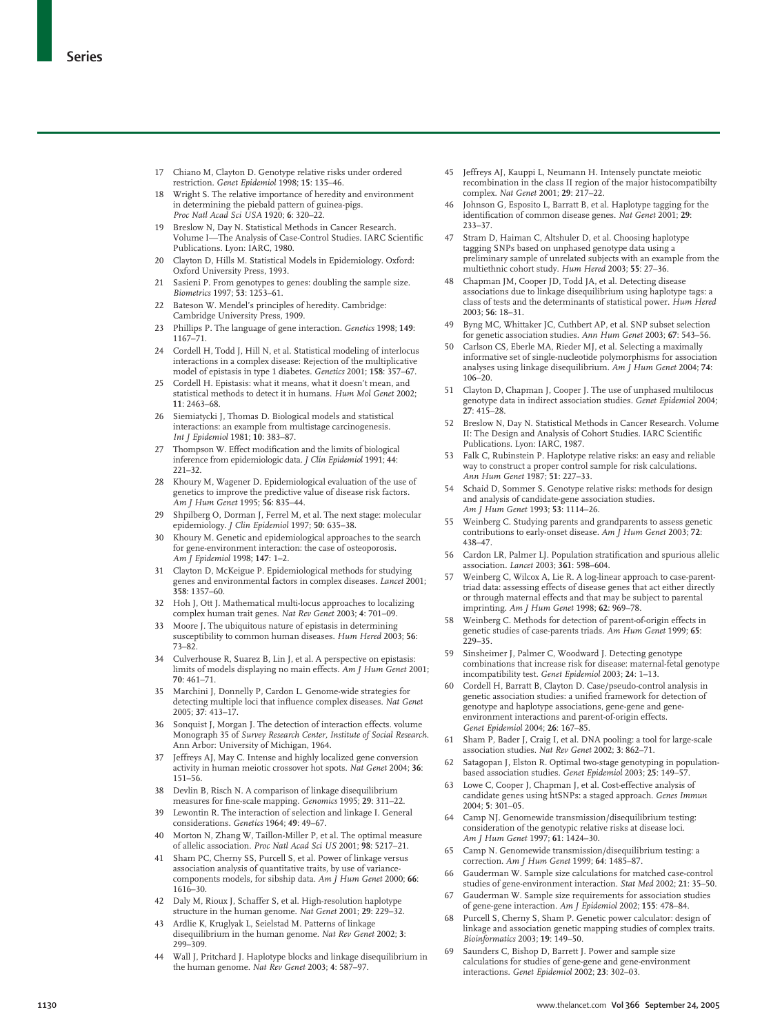- 17 Chiano M, Clayton D. Genotype relative risks under ordered restriction. *Genet Epidemiol* 1998; **15**: 135–46.
- 18 Wright S. The relative importance of heredity and environment in determining the piebald pattern of guinea-pigs. *Proc Natl Acad Sci USA* 1920; **6**: 320–22.
- 19 Breslow N, Day N. Statistical Methods in Cancer Research. Volume I—The Analysis of Case-Control Studies. IARC Scientific Publications. Lyon: IARC, 1980.
- 20 Clayton D, Hills M. Statistical Models in Epidemiology. Oxford: Oxford University Press, 1993.
- 21 Sasieni P. From genotypes to genes: doubling the sample size. *Biometrics* 1997; **53**: 1253–61.
- 22 Bateson W. Mendel's principles of heredity. Cambridge: Cambridge University Press, 1909.
- 23 Phillips P. The language of gene interaction. *Genetics* 1998; **149**: 1167–71.
- 24 Cordell H, Todd J, Hill N, et al. Statistical modeling of interlocus interactions in a complex disease: Rejection of the multiplicative model of epistasis in type 1 diabetes. *Genetics* 2001; **158**: 357–67.
- 25 Cordell H. Epistasis: what it means, what it doesn't mean, and statistical methods to detect it in humans. *Hum Mol Genet* 2002; **11**: 2463–68.
- 26 Siemiatycki J, Thomas D. Biological models and statistical interactions: an example from multistage carcinogenesis. *Int J Epidemiol* 1981; **10**: 383–87.
- 27 Thompson W. Effect modification and the limits of biological inference from epidemiologic data. *J Clin Epidemiol* 1991; **44**: 221–32.
- 28 Khoury M, Wagener D. Epidemiological evaluation of the use of genetics to improve the predictive value of disease risk factors. *Am J Hum Genet* 1995; **56**: 835–44.
- 29 Shpilberg O, Dorman J, Ferrel M, et al. The next stage: molecular epidemiology. *J Clin Epidemiol* 1997; **50**: 635–38.
- 30 Khoury M. Genetic and epidemiological approaches to the search for gene-environment interaction: the case of osteoporosis. *Am J Epidemiol* 1998; **147**: 1–2.
- 31 Clayton D, McKeigue P. Epidemiological methods for studying genes and environmental factors in complex diseases. *Lancet* 2001; **358**: 1357–60.
- 32 Hoh J, Ott J. Mathematical multi-locus approaches to localizing complex human trait genes. *Nat Rev Genet* 2003; **4**: 701–09.
- 33 Moore J. The ubiquitous nature of epistasis in determining susceptibility to common human diseases. *Hum Hered* 2003; **56**: 73–82.
- 34 Culverhouse R, Suarez B, Lin J, et al. A perspective on epistasis: limits of models displaying no main effects. *Am J Hum Genet* 2001; **70**: 461–71.
- 35 Marchini J, Donnelly P, Cardon L. Genome-wide strategies for detecting multiple loci that influence complex diseases. *Nat Genet* 2005; **37**: 413–17.
- 36 Sonquist J, Morgan J. The detection of interaction effects. volume Monograph 35 of *Survey Research Center, Institute of Social Research*. Ann Arbor: University of Michigan, 1964.
- 37 Jeffreys AJ, May C. Intense and highly localized gene conversion activity in human meiotic crossover hot spots. *Nat Genet* 2004; **36**: 151–56.
- 38 Devlin B, Risch N. A comparison of linkage disequilibrium measures for fine-scale mapping. *Genomics* 1995; **29**: 311–22.
- 39 Lewontin R. The interaction of selection and linkage I. General considerations. *Genetics* 1964; **49**: 49–67.
- 40 Morton N, Zhang W, Taillon-Miller P, et al. The optimal measure of allelic association. *Proc Natl Acad Sci US* 2001; **98**: 5217–21.
- 41 Sham PC, Cherny SS, Purcell S, et al. Power of linkage versus association analysis of quantitative traits, by use of variancecomponents models, for sibship data. *Am J Hum Genet* 2000; **66**: 1616–30.
- 42 Daly M, Rioux J, Schaffer S, et al. High-resolution haplotype structure in the human genome. *Nat Genet* 2001; **29**: 229–32.
- 43 Ardlie K, Kruglyak L, Seielstad M. Patterns of linkage disequilibrium in the human genome. *Nat Rev Genet* 2002; **3**: 299–309.
- 44 Wall J, Pritchard J. Haplotype blocks and linkage disequilibrium in the human genome. *Nat Rev Genet* 2003; **4**: 587–97.
- 45 Jeffreys AJ, Kauppi L, Neumann H. Intensely punctate meiotic recombination in the class II region of the major histocompatibilty complex. *Nat Genet* 2001; **29**: 217–22.
- 46 Johnson G, Esposito L, Barratt B, et al. Haplotype tagging for the identification of common disease genes. *Nat Genet* 2001; **29**: 233–37.
- 47 Stram D, Haiman C, Altshuler D, et al. Choosing haplotype tagging SNPs based on unphased genotype data using a preliminary sample of unrelated subjects with an example from the multiethnic cohort study. *Hum Hered* 2003; **55**: 27–36.
- 48 Chapman JM, Cooper JD, Todd JA, et al. Detecting disease associations due to linkage disequilibrium using haplotype tags: a class of tests and the determinants of statistical power. *Hum Hered* 2003; **56**: 18–31.
- 49 Byng MC, Whittaker JC, Cuthbert AP, et al. SNP subset selection for genetic association studies. *Ann Hum Genet* 2003; **67**: 543–56.
- 50 Carlson CS, Eberle MA, Rieder MJ, et al. Selecting a maximally informative set of single-nucleotide polymorphisms for association analyses using linkage disequilibrium. *Am J Hum Genet* 2004; **74**: 106–20.
- 51 Clayton D, Chapman J, Cooper J. The use of unphased multilocus genotype data in indirect association studies. *Genet Epidemiol* 2004; **27**: 415–28.
- 52 Breslow N, Day N. Statistical Methods in Cancer Research. Volume II: The Design and Analysis of Cohort Studies. IARC Scientific Publications. Lyon: IARC, 1987.
- 53 Falk C, Rubinstein P. Haplotype relative risks: an easy and reliable way to construct a proper control sample for risk calculations. *Ann Hum Genet* 1987; **51**: 227–33.
- 54 Schaid D, Sommer S. Genotype relative risks: methods for design and analysis of candidate-gene association studies. *Am J Hum Genet* 1993; **53**: 1114–26.
- 55 Weinberg C. Studying parents and grandparents to assess genetic contributions to early-onset disease. *Am J Hum Genet* 2003; **72**: 438–47.
- 56 Cardon LR, Palmer LJ. Population stratification and spurious allelic association. *Lancet* 2003; **361**: 598–604.
- 57 Weinberg C, Wilcox A, Lie R. A log-linear approach to case-parenttriad data: assessing effects of disease genes that act either directly or through maternal effects and that may be subject to parental imprinting. *Am J Hum Genet* 1998; **62**: 969–78.
- 58 Weinberg C. Methods for detection of parent-of-origin effects in genetic studies of case-parents triads. *Am Hum Genet* 1999; **65**: 229–35.
- Sinsheimer J, Palmer C, Woodward J. Detecting genotype combinations that increase risk for disease: maternal-fetal genotype incompatibility test. *Genet Epidemiol* 2003; **24**: 1–13.
- 60 Cordell H, Barratt B, Clayton D. Case/pseudo-control analysis in genetic association studies: a unified framework for detection of genotype and haplotype associations, gene-gene and geneenvironment interactions and parent-of-origin effects. *Genet Epidemiol* 2004; **26**: 167–85.
- 61 Sham P, Bader J, Craig I, et al. DNA pooling: a tool for large-scale association studies. *Nat Rev Genet* 2002; **3**: 862–71.
- 62 Satagopan J, Elston R. Optimal two-stage genotyping in populationbased association studies. *Genet Epidemiol* 2003; **25**: 149–57.
- Lowe C, Cooper J, Chapman J, et al. Cost-effective analysis of candidate genes using htSNPs: a staged approach. *Genes Immun* 2004; **5**: 301–05.
- 64 Camp NJ. Genomewide transmission/disequilibrium testing: consideration of the genotypic relative risks at disease loci. *Am J Hum Genet* 1997; **61**: 1424–30.
- 65 Camp N. Genomewide transmission/disequilibrium testing: a correction. *Am J Hum Genet* 1999; **64**: 1485–87.
- 66 Gauderman W. Sample size calculations for matched case-control studies of gene-environment interaction. *Stat Med* 2002; **21**: 35–50.
- 67 Gauderman W. Sample size requirements for association studies of gene-gene interaction. *Am J Epidemiol* 2002; **155**: 478–84.
- 68 Purcell S, Cherny S, Sham P. Genetic power calculator: design of linkage and association genetic mapping studies of complex traits. *Bioinformatics* 2003; **19**: 149–50.
- 69 Saunders C, Bishop D, Barrett J. Power and sample size calculations for studies of gene-gene and gene-environment interactions. *Genet Epidemiol* 2002; **23**: 302–03.